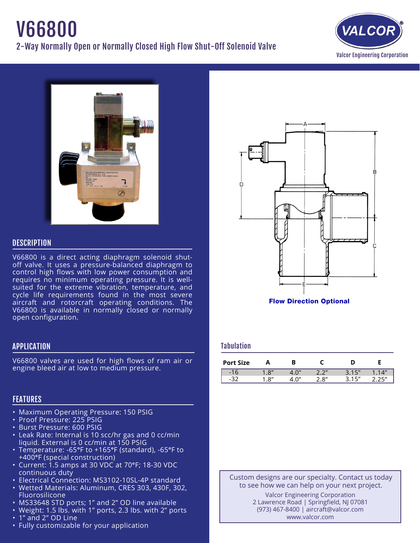# V66800 2-Way Normally Open or Normally Closed High Flow Shut-Off Solenoid Valve





## **DESCRIPTION**

V66800 is a direct acting diaphragm solenoid shutoff valve. It uses a pressure-balanced diaphragm to control high flows with low power consumption and requires no minimum operating pressure. It is wellsuited for the extreme vibration, temperature, and cycle life requirements found in the most severe aircraft and rotorcraft operating conditions. The V66800 is available in normally closed or normally open configuration.

## APPLICATION

V66800 valves are used for high flows of ram air or engine bleed air at low to medium pressure.

# **FEATURES**

- **Maximum Operating Pressure: 150 PSIG**
- · Proof Pressure: 225 PSIG
- • Burst Pressure: 600 PSIG
- • Leak Rate: Internal is 10 scc/hr gas and 0 cc/min liquid. External is 0 cc/min at 150 PSIG
- Temperature: -65°F to +165°F (standard), -65°F to +400°F (special construction)
- • Current: 1.5 amps at 30 VDC at 70°F; 18-30 VDC continuous duty
- Electrical Connection: MS3102-10SL-4P standard
- • Wetted Materials: Aluminum, CRES 303, 430F, 302, Fluorosilicone
- MS33648 STD ports; 1" and 2" OD line available
- Weight: 1.5 lbs. with 1" ports, 2.3 lbs. with 2" ports
- 1" and 2" OD Line
- Fully customizable for your application



#### Flow Direction Optional

#### Tabulation

| <b>Port Size</b> |            |          |       |       |      |
|------------------|------------|----------|-------|-------|------|
| $-16$            | Q''        | $\cap''$ | ייר ר | 215'' | 14'' |
| - -              | $\Omega''$ | $\cap''$ | 2.8"  | 15"   | つに〃  |

Custom designs are our specialty. Contact us today to see how we can help on your next project. Valcor Engineering Corporation 2 Lawrence Road | Springfield, NJ 07081

(973) 467-8400 | aircraft@valcor.com www.valcor.com